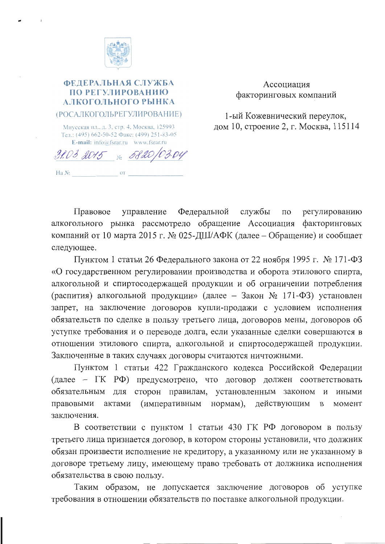

## ФЕДЕРАЛЬНАЯ СЛУЖБА ПО РЕГУЛИРОВАНИЮ АЛКОГОЛЬНОГО РЫНКА (РОСАЛКОГОЛЬРЕГУЛИРОВАНИЕ)

Миусская пл., д. 3, стр. 4, Москва, 125993 Тел.: (495) 662-50-52 Факс: (499) 251-83-05 E-mail:  $info(a)$ fsrar.ru www.fsrar.ru

31.03 2015 No 5820/03.04 Ha  $N_2$  or

Ассоциация факторинговых компаний

1-ый Кожевнический переулок, дом 10, строение 2, г. Москва, 115114

Правовое управление Федеральной службы  $\Pi$ O регулированию алкогольного рынка рассмотрело обращение Ассоциация факторинговых компаний от 10 марта 2015 г. № 025-ДШ/АФК (далее – Обращение) и сообщает следующее.

Пунктом 1 статьи 26 Федерального закона от 22 ноября 1995 г. № 171-ФЗ «О государственном регулировании производства и оборота этилового спирта, алкогольной и спиртосодержащей продукции и об ограничении потребления (распития) алкогольной продукции» (далее – Закон № 171-ФЗ) установлен запрет, на заключение договоров купли-продажи с условием исполнения обязательств по сделке в пользу третьего лица, договоров мены, договоров об уступке требования и о переводе долга, если указанные сделки совершаются в отношении этилового спирта, алкогольной и спиртосодержащей продукции. Заключенные в таких случаях договоры считаются ничтожными.

Пунктом 1 статьи 422 Гражданского кодекса Российской Федерации (далее - ГК РФ) предусмотрено, что договор должен соответствовать обязательным для сторон правилам, установленным законом  $\mathbf{M}$ иными актами (императивным нормам), действующим правовыми  $\mathbf{B}$ момент заключения.

В соответствии с пунктом 1 статьи 430 ГК РФ договором в пользу третьего лица признается договор, в котором стороны установили, что должник обязан произвести исполнение не кредитору, а указанному или не указанному в договоре третьему лицу, имеющему право требовать от должника исполнения обязательства в свою пользу.

Таким образом, не допускается заключение договоров об уступке требования в отношении обязательств по поставке алкогольной продукции.